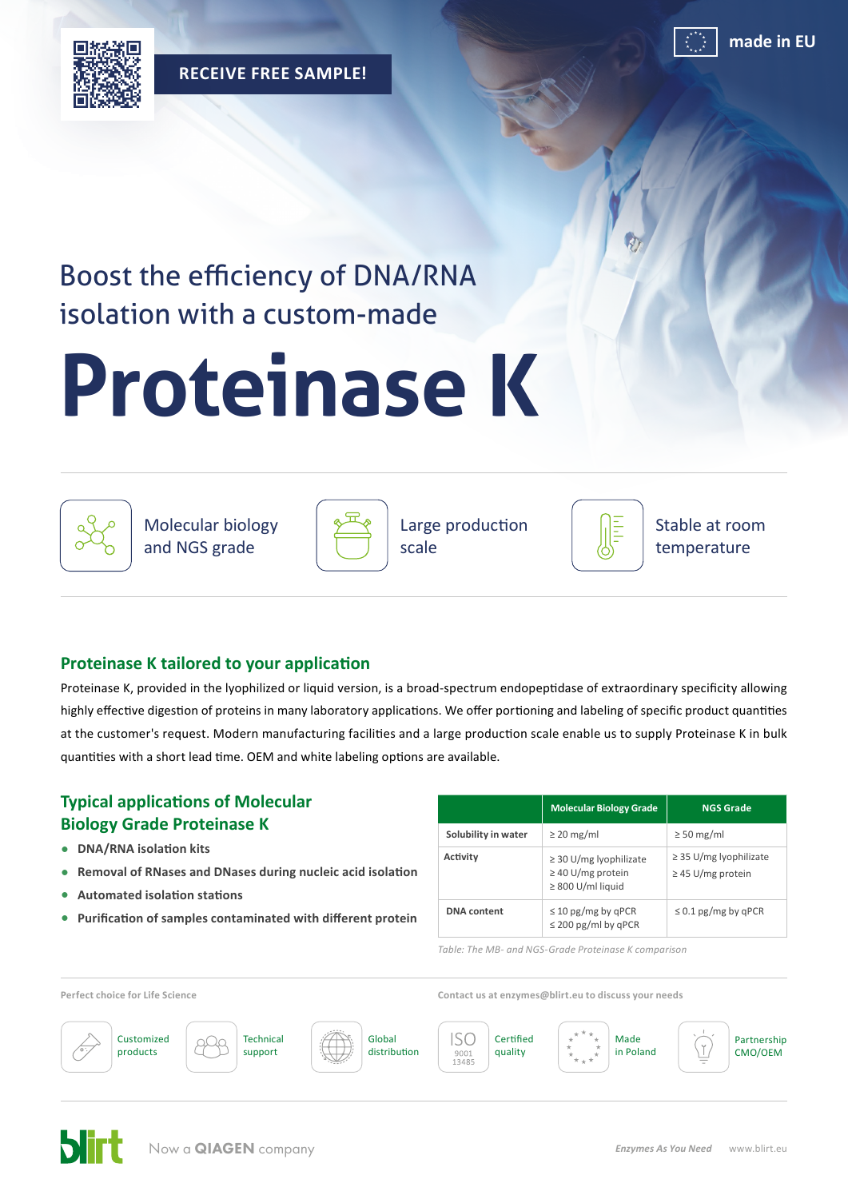

**made in EU**

**RECEIVE FREE SAMPLE!**



## Boost the efficiency of DNA/RNA isolation with a custom-made

# **Proteinase K**



Molecular biology and NGS grade



Large production scale



Stable at room temperature

## **Proteinase K tailored to your application**

Proteinase K, provided in the lyophilized or liquid version, is a broad-spectrum endopeptidase of extraordinary specificity allowing highly effective digestion of proteins in many laboratory applications. We offer portioning and labeling of specific product quantities at the customer's request. Modern manufacturing facilities and a large production scale enable us to supply Proteinase K in bulk quantities with a short lead time. OEM and white labeling options are available.

## **Typical applications of Molecular Biology Grade Proteinase K**

- **• DNA/RNA isolation kits**
- **• Removal of RNases and DNases during nucleic acid isolation**
- **• Automated isolation stations**
- **• Purification of samples contaminated with different protein**

|                     | <b>Molecular Biology Grade</b>                                                  | <b>NGS Grade</b>                                      |
|---------------------|---------------------------------------------------------------------------------|-------------------------------------------------------|
| Solubility in water | $\geq$ 20 mg/ml                                                                 | $\geq$ 50 mg/ml                                       |
| Activity            | $\geq$ 30 U/mg lyophilizate<br>$\geq$ 40 U/mg protein<br>$\geq 800$ U/ml liquid | $\geq$ 35 U/mg lyophilizate<br>$\geq$ 45 U/mg protein |
| <b>DNA</b> content  | $\leq$ 10 pg/mg by qPCR<br>$\leq$ 200 pg/ml by qPCR                             | $\leq$ 0.1 pg/mg by qPCR                              |

*Table: The MB- and NGS-Grade Proteinase K comparison*